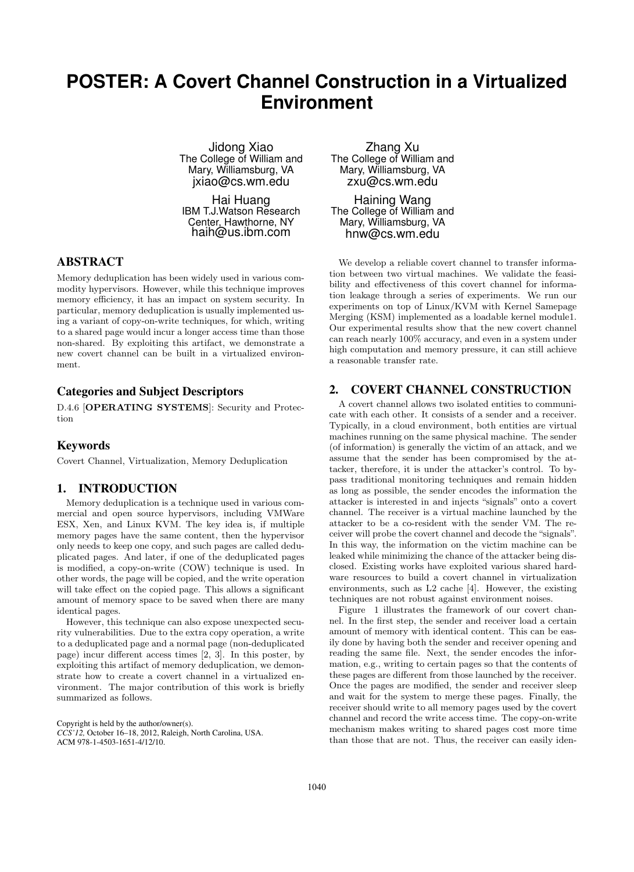## **POSTER: A Covert Channel Construction in a Virtualized Environment**

Jidong Xiao The College of William and Mary, Williamsburg, VA jxiao@cs.wm.edu

Hai Huang IBM T.J.Watson Research Center, Hawthorne, NY haih@us.ibm.com

#### ABSTRACT

Memory deduplication has been widely used in various commodity hypervisors. However, while this technique improves memory efficiency, it has an impact on system security. In particular, memory deduplication is usually implemented using a variant of copy-on-write techniques, for which, writing to a shared page would incur a longer access time than those non-shared. By exploiting this artifact, we demonstrate a new covert channel can be built in a virtualized environment.

### Categories and Subject Descriptors

D.4.6 [OPERATING SYSTEMS]: Security and Protection

#### Keywords

Covert Channel, Virtualization, Memory Deduplication

## 1. INTRODUCTION

Memory deduplication is a technique used in various commercial and open source hypervisors, including VMWare ESX, Xen, and Linux KVM. The key idea is, if multiple memory pages have the same content, then the hypervisor only needs to keep one copy, and such pages are called deduplicated pages. And later, if one of the deduplicated pages is modified, a copy-on-write (COW) technique is used. In other words, the page will be copied, and the write operation will take effect on the copied page. This allows a significant amount of memory space to be saved when there are many identical pages.

However, this technique can also expose unexpected security vulnerabilities. Due to the extra copy operation, a write to a deduplicated page and a normal page (non-deduplicated page) incur different access times [2, 3]. In this poster, by exploiting this artifact of memory deduplication, we demonstrate how to create a covert channel in a virtualized environment. The major contribution of this work is briefly summarized as follows.

Copyright is held by the author/owner(s). *CCS'12,* October 16–18, 2012, Raleigh, North Carolina, USA. ACM 978-1-4503-1651-4/12/10.

Zhang Xu The College of William and Mary, Williamsburg, VA zxu@cs.wm.edu

Haining Wang The College of William and Mary, Williamsburg, VA hnw@cs.wm.edu

We develop a reliable covert channel to transfer information between two virtual machines. We validate the feasibility and effectiveness of this covert channel for information leakage through a series of experiments. We run our experiments on top of Linux/KVM with Kernel Samepage Merging (KSM) implemented as a loadable kernel module1. Our experimental results show that the new covert channel can reach nearly 100% accuracy, and even in a system under high computation and memory pressure, it can still achieve a reasonable transfer rate.

## 2. COVERT CHANNEL CONSTRUCTION

A covert channel allows two isolated entities to communicate with each other. It consists of a sender and a receiver. Typically, in a cloud environment, both entities are virtual machines running on the same physical machine. The sender (of information) is generally the victim of an attack, and we assume that the sender has been compromised by the attacker, therefore, it is under the attacker's control. To bypass traditional monitoring techniques and remain hidden as long as possible, the sender encodes the information the attacker is interested in and injects "signals" onto a covert channel. The receiver is a virtual machine launched by the attacker to be a co-resident with the sender VM. The receiver will probe the covert channel and decode the "signals". In this way, the information on the victim machine can be leaked while minimizing the chance of the attacker being disclosed. Existing works have exploited various shared hardware resources to build a covert channel in virtualization environments, such as L2 cache [4]. However, the existing techniques are not robust against environment noises.

Figure 1 illustrates the framework of our covert channel. In the first step, the sender and receiver load a certain amount of memory with identical content. This can be easily done by having both the sender and receiver opening and reading the same file. Next, the sender encodes the information, e.g., writing to certain pages so that the contents of these pages are different from those launched by the receiver. Once the pages are modified, the sender and receiver sleep and wait for the system to merge these pages. Finally, the receiver should write to all memory pages used by the covert channel and record the write access time. The copy-on-write mechanism makes writing to shared pages cost more time than those that are not. Thus, the receiver can easily iden-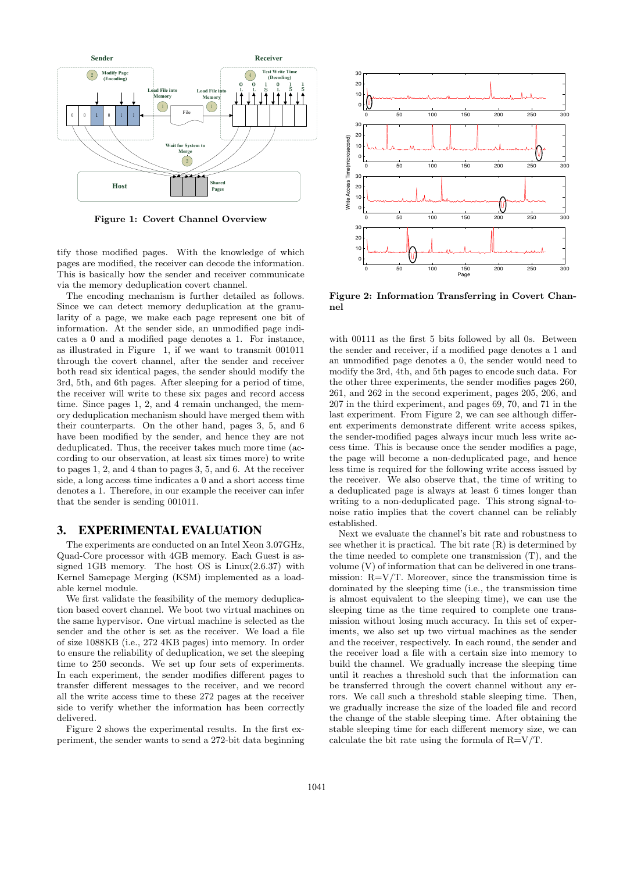

Figure 1: Covert Channel Overview

tify those modified pages. With the knowledge of which pages are modified, the receiver can decode the information. This is basically how the sender and receiver communicate via the memory deduplication covert channel.

The encoding mechanism is further detailed as follows. Since we can detect memory deduplication at the granularity of a page, we make each page represent one bit of information. At the sender side, an unmodified page indicates a 0 and a modified page denotes a 1. For instance, as illustrated in Figure 1, if we want to transmit 001011 through the covert channel, after the sender and receiver both read six identical pages, the sender should modify the 3rd, 5th, and 6th pages. After sleeping for a period of time, the receiver will write to these six pages and record access time. Since pages 1, 2, and 4 remain unchanged, the memory deduplication mechanism should have merged them with their counterparts. On the other hand, pages 3, 5, and 6 have been modified by the sender, and hence they are not deduplicated. Thus, the receiver takes much more time (according to our observation, at least six times more) to write to pages 1, 2, and 4 than to pages 3, 5, and 6. At the receiver side, a long access time indicates a 0 and a short access time denotes a 1. Therefore, in our example the receiver can infer that the sender is sending 001011.

### 3. EXPERIMENTAL EVALUATION

The experiments are conducted on an Intel Xeon 3.07GHz, Quad-Core processor with 4GB memory. Each Guest is assigned 1GB memory. The host OS is Linux(2.6.37) with Kernel Samepage Merging (KSM) implemented as a loadable kernel module.

We first validate the feasibility of the memory deduplication based covert channel. We boot two virtual machines on the same hypervisor. One virtual machine is selected as the sender and the other is set as the receiver. We load a file of size 1088KB (i.e., 272 4KB pages) into memory. In order to ensure the reliability of deduplication, we set the sleeping time to 250 seconds. We set up four sets of experiments. In each experiment, the sender modifies different pages to transfer different messages to the receiver, and we record all the write access time to these 272 pages at the receiver side to verify whether the information has been correctly delivered.

Figure 2 shows the experimental results. In the first experiment, the sender wants to send a 272-bit data beginning



Figure 2: Information Transferring in Covert Channel

with 00111 as the first 5 bits followed by all 0s. Between the sender and receiver, if a modified page denotes a 1 and an unmodified page denotes a 0, the sender would need to modify the 3rd, 4th, and 5th pages to encode such data. For the other three experiments, the sender modifies pages 260, 261, and 262 in the second experiment, pages 205, 206, and 207 in the third experiment, and pages 69, 70, and 71 in the last experiment. From Figure 2, we can see although different experiments demonstrate different write access spikes, the sender-modified pages always incur much less write access time. This is because once the sender modifies a page, the page will become a non-deduplicated page, and hence less time is required for the following write access issued by the receiver. We also observe that, the time of writing to a deduplicated page is always at least 6 times longer than writing to a non-deduplicated page. This strong signal-tonoise ratio implies that the covert channel can be reliably established.

Next we evaluate the channel's bit rate and robustness to see whether it is practical. The bit rate (R) is determined by the time needed to complete one transmission (T), and the volume (V) of information that can be delivered in one transmission:  $R=V/T$ . Moreover, since the transmission time is dominated by the sleeping time (i.e., the transmission time is almost equivalent to the sleeping time), we can use the sleeping time as the time required to complete one transmission without losing much accuracy. In this set of experiments, we also set up two virtual machines as the sender and the receiver, respectively. In each round, the sender and the receiver load a file with a certain size into memory to build the channel. We gradually increase the sleeping time until it reaches a threshold such that the information can be transferred through the covert channel without any errors. We call such a threshold stable sleeping time. Then, we gradually increase the size of the loaded file and record the change of the stable sleeping time. After obtaining the stable sleeping time for each different memory size, we can calculate the bit rate using the formula of  $R=V/T$ .